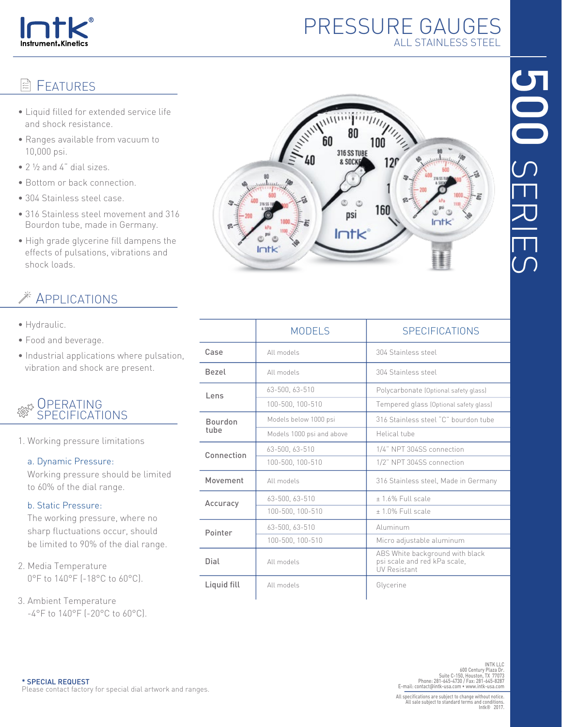

# PRESSURE GAUGES ALL STAINLESS STEEL

#### **FFATURES** k)

- Liquid filled for extended service life and shock resistance.
- Ranges available from vacuum to 10,000 psi.
- 2 ½ and 4" dial sizes.
- Bottom or back connection.
- 304 Stainless steel case.
- 316 Stainless steel movement and 316 Bourdon tube, made in Germany.
- High grade glycerine fill dampens the effects of pulsations, vibrations and shock loads.

## APPLICATIONS

- Hydraulic.
- Food and beverage.
- Industrial applications where pulsation, vibration and shock are present.

#### **OPERATING** ر<br>ح SPECIFICATIONS

1. Working pressure limitations

### a. Dynamic Pressure:

 Working pressure should be limited to 60% of the dial range.

### b. Static Pressure:

 The working pressure, where no sharp fluctuations occur, should be limited to 90% of the dial range.

- 2. Media Temperature 0°F to 140°F (-18°C to 60°C).
- 3. Ambient Temperature  $-4^{\circ}$ F to  $140^{\circ}$ F ( $-20^{\circ}$ C to 60 $^{\circ}$ C).



|                        | <b>MODELS</b>             | <b>SPECIFICATIONS</b>                                                                  |  |  |  |
|------------------------|---------------------------|----------------------------------------------------------------------------------------|--|--|--|
| Case                   | All models                | 304 Stainless steel                                                                    |  |  |  |
| <b>Bezel</b>           | All models                | 304 Stainless steel                                                                    |  |  |  |
| Lens                   | 63-500, 63-510            | Polycarbonate (Optional safety glass)                                                  |  |  |  |
|                        | 100-500, 100-510          | Tempered glass (Optional safety glass)                                                 |  |  |  |
| <b>Bourdon</b><br>tuhe | Models below 1000 psi     | 316 Stainless steel "C" bourdon tube                                                   |  |  |  |
|                        | Models 1000 psi and above | Helical tube                                                                           |  |  |  |
| Connection             | 63-500, 63-510            | 1/4" NPT 304SS connection                                                              |  |  |  |
|                        | 100-500, 100-510          | 1/2" NPT 304SS connection                                                              |  |  |  |
| Movement               | All models                | 316 Stainless steel, Made in Germany                                                   |  |  |  |
| Accuracy               | 63-500, 63-510            | +1.6% Full scale                                                                       |  |  |  |
|                        | 100-500, 100-510          | ± 1.0% Full scale                                                                      |  |  |  |
| Pointer                | 63-500, 63-510            | Aluminum                                                                               |  |  |  |
|                        | 100-500, 100-510          | Micro adjustable aluminum                                                              |  |  |  |
| Dial                   | All models                | ABS White background with black<br>psi scale and red kPa scale,<br><b>UV Resistant</b> |  |  |  |
| Liquid fill            | All models                | Glycerine                                                                              |  |  |  |

INT LLC<br>INTK LLC<br>600 Century Plaza Dr.<br>Phone: 281-645-4730 / Fax: 281-645-4731<br>E-mail: contact@intk-usa.com • www.intk-usa.com<br>E-mail: contact@intk-usa.com • www.intk-usa.com